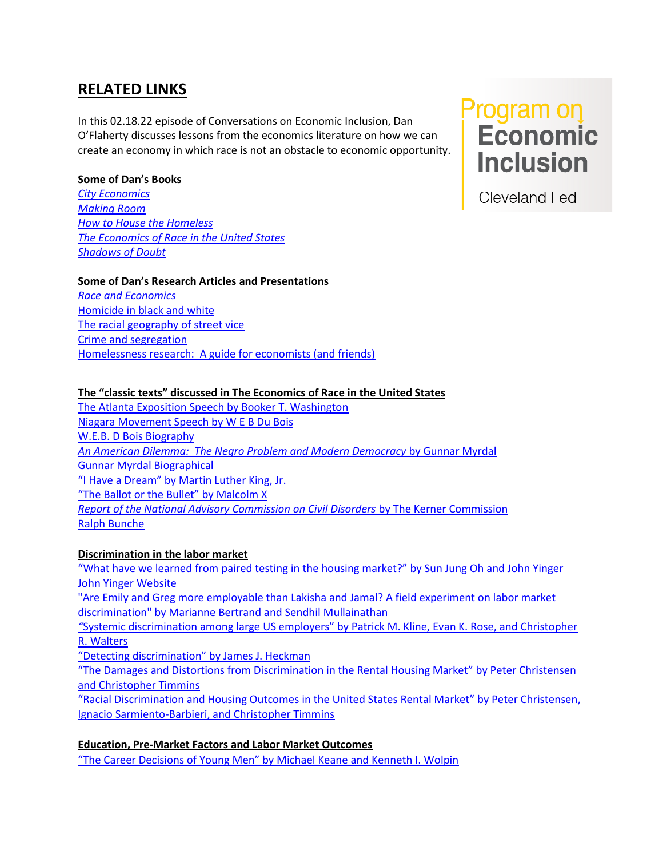# **RELATED LINKS**

In this 02.18.22 episode of Conversations on Economic Inclusion, Dan O'Flaherty discusses lessons from the economics literature on how we can create an economy in which race is not an obstacle to economic opportunity.

# **Some of Dan's Books**

*[City Economics](https://www.hup.harvard.edu/catalog.php?isbn=9780674019188) [Making Room](https://www.hup.harvard.edu/catalog.php?isbn=9780674543430) [How to House the Homeless](https://www.russellsage.org/publications/how-to-house-homeless) [The Economics of Race in the United States](https://www.hup.harvard.edu/catalog.php?isbn=9780674368187) [Shadows of Doubt](https://www.hup.harvard.edu/catalog.php?isbn=9780674976597)* 

# **Some of Dan's Research Articles and Presentations**

*[Race and Economics](-%20https:/www.ineteconomics.org/perspectives/blog/race-may-be-pseudo-science-but-economists-ignore-it-at-their-peril)* [Homicide in black and white](-%20https:/www.sciencedirect.com/science/article/pii/S0094119010000343) [The racial geography of street vice](https://www.sciencedirect.com/science/article/pii/S0094119009000795) [Crime and segregation](https://www.sciencedirect.com/science/article/pii/S0167268107001357) [Homelessness research: A guide for economists \(and friends\)](https://www.sciencedirect.com/science/article/pii/S1051137718302109)

## **The "classic texts" discussed in The Economics of Race in the United States**

[The Atlanta Exposition Speech by Booker T. Washington](http://historymatters.gmu.edu/d/39/%20-%20https:/en.wikipedia.org/wiki/Booker_T._Washington)  [Niagara Movement Speech by W E B Du Bois](https://teachingamericanhistory.org/document/niagara-movement-speech/%20-%20https:/en.wikipedia.org/wiki/W._E._B._Du_Bois) [W.E.B. D Bois Biography](https://en.wikipedia.org/wiki/W._E._B._Du_Bois) *[An American Dilemma: The Negro Problem and Modern Democracy](https://archive.org/details/AmericanDilemmaTheNegroProblemAndModernDemocracy/page/n5/mode/)* by Gunnar Myrdal [Gunnar Myrdal Biographical](https://www.nobelprize.org/prizes/economic-sciences/1974/myrdal/biographical/) "I Have a Dream" [by Martin Luther King, Jr.](http://news.bbc.co.uk/1/hi/world/americas/3170387.stm%20%20-%20https:/en.wikipedia.org/wiki/Martin_Luther_King_Jr.) ["The Ballot or the Bullet" by Malcolm X](https://xroads.virginia.edu/~public/civilrights/a0146.html%20-%20https:/en.wikipedia.org/wiki/Malcolm_X) *[Report of the National Advisory Commission on Civil Disorders](https://www.ojp.gov/ncjrs/virtual-library/abstracts/national-advisory-commission-civil-disorders-report%20-%20https:/en.wikipedia.org/wiki/Kerner_Commission)* by The Kerner Commission [Ralph Bunche](https://xroads.virginia.edu/~public/civilrights/a0146.html)

## **Discrimination in the labor market**

"What have we learned from [paired testing in the housing market?](https://www.jstor.org/stable/26326960)" by Sun Jung Oh and John Yinger [John Yinger Website](https://joyinger.expressions.syr.edu/)

["Are Emily and Greg more employable than Lakisha and Jamal? A field experiment on labor market](https://www.aeaweb.org/articles?id=10.1257/0002828042002561)  discrimination" [by Marianne Bertrand and Sendhil Mullainathan](https://www.aeaweb.org/articles?id=10.1257/0002828042002561)

*"*[Systemic discrimination among large US employers" by Patrick M. Kline, Evan K. Rose, and Christopher](https://www.nber.org/papers/w29053)  [R. Walters](https://www.nber.org/papers/w29053)

["Detecting discrimination" by James J. Heckman](https://www.aeaweb.org/articles?id=10.1257/jep.12.2.101)

"[The Damages and Distortions from Discrimination in the Rental Housing Market](https://www.nber.org/papers/w29049)" by Peter Christensen [and Christopher Timmins](https://www.nber.org/papers/w29049)

"[Racial Discrimination and Housing Outcomes in the United States Rental Market](https://www.nber.org/papers/w29516)" by Peter Christensen, [Ignacio Sarmiento-Barbieri, and Christopher Timmins](https://www.nber.org/papers/w29516)

# **Education, Pre-Market Factors and Labor Market Outcomes**

["The Career Decisions of Young Men" by Michael Keane and Kenneth I. Wolpin](https://www.journals.uchicago.edu/doi/abs/10.1086/262080)

**Program on**<br>Economic **Inclusion** 

**Cleveland Fed**